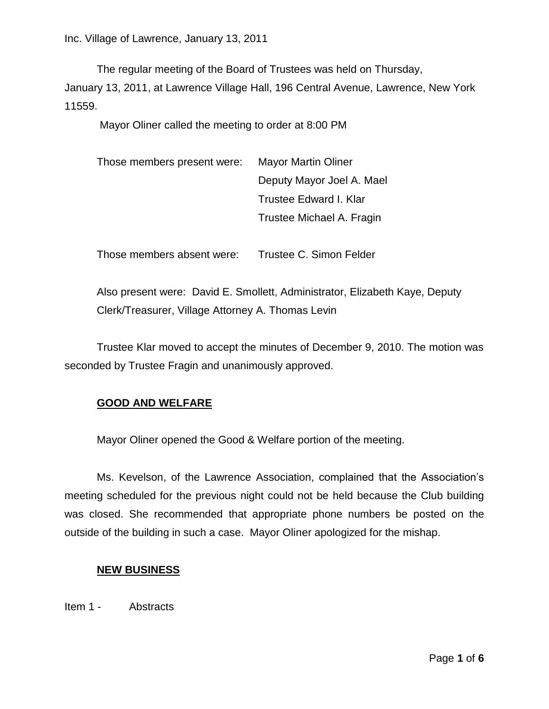The regular meeting of the Board of Trustees was held on Thursday,

January 13, 2011, at Lawrence Village Hall, 196 Central Avenue, Lawrence, New York 11559.

Mayor Oliner called the meeting to order at 8:00 PM

| Those members present were: | <b>Mayor Martin Oliner</b> |
|-----------------------------|----------------------------|
|                             | Deputy Mayor Joel A. Mael  |
|                             | Trustee Edward I. Klar     |
|                             | Trustee Michael A. Fragin  |

Those members absent were: Trustee C. Simon Felder

Also present were: David E. Smollett, Administrator, Elizabeth Kaye, Deputy Clerk/Treasurer, Village Attorney A. Thomas Levin

Trustee Klar moved to accept the minutes of December 9, 2010. The motion was seconded by Trustee Fragin and unanimously approved.

## **GOOD AND WELFARE**

Mayor Oliner opened the Good & Welfare portion of the meeting.

Ms. Kevelson, of the Lawrence Association, complained that the Association's meeting scheduled for the previous night could not be held because the Club building was closed. She recommended that appropriate phone numbers be posted on the outside of the building in such a case. Mayor Oliner apologized for the mishap.

## **NEW BUSINESS**

Item 1 - Abstracts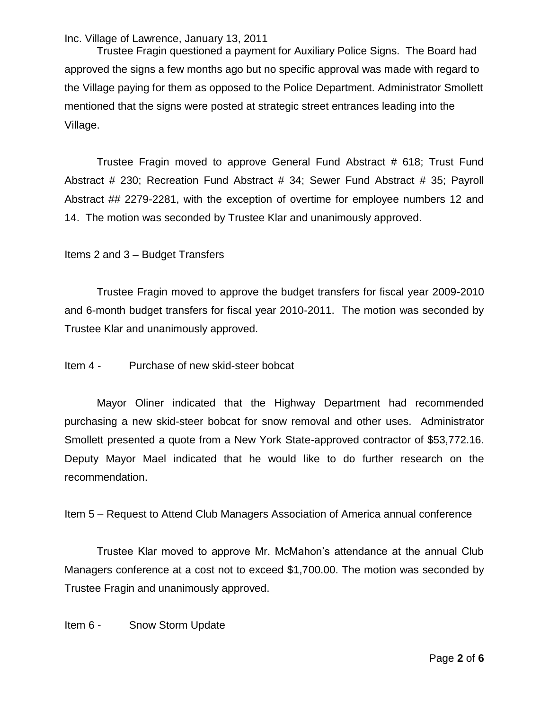Trustee Fragin questioned a payment for Auxiliary Police Signs. The Board had approved the signs a few months ago but no specific approval was made with regard to the Village paying for them as opposed to the Police Department. Administrator Smollett mentioned that the signs were posted at strategic street entrances leading into the Village.

Trustee Fragin moved to approve General Fund Abstract # 618; Trust Fund Abstract # 230; Recreation Fund Abstract # 34; Sewer Fund Abstract # 35; Payroll Abstract ## 2279-2281, with the exception of overtime for employee numbers 12 and 14. The motion was seconded by Trustee Klar and unanimously approved.

## Items 2 and 3 – Budget Transfers

Trustee Fragin moved to approve the budget transfers for fiscal year 2009-2010 and 6-month budget transfers for fiscal year 2010-2011. The motion was seconded by Trustee Klar and unanimously approved.

Item 4 - Purchase of new skid-steer bobcat

Mayor Oliner indicated that the Highway Department had recommended purchasing a new skid-steer bobcat for snow removal and other uses. Administrator Smollett presented a quote from a New York State-approved contractor of \$53,772.16. Deputy Mayor Mael indicated that he would like to do further research on the recommendation.

Item 5 – Request to Attend Club Managers Association of America annual conference

Trustee Klar moved to approve Mr. McMahon's attendance at the annual Club Managers conference at a cost not to exceed \$1,700.00. The motion was seconded by Trustee Fragin and unanimously approved.

Item 6 - Snow Storm Update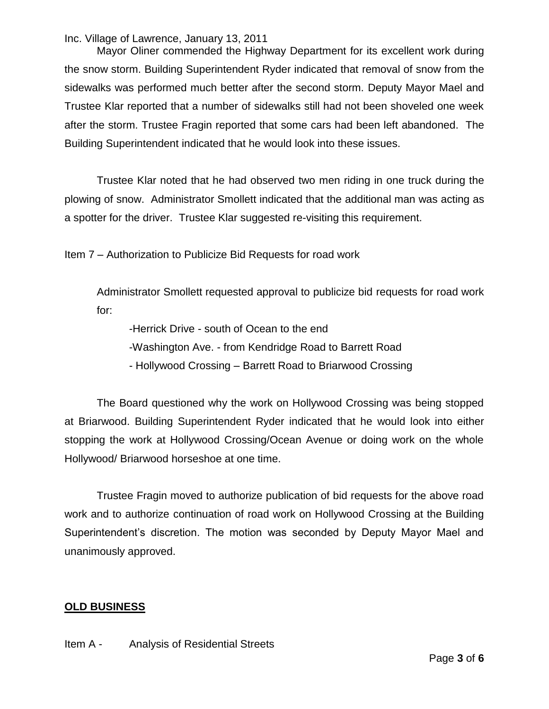Mayor Oliner commended the Highway Department for its excellent work during the snow storm. Building Superintendent Ryder indicated that removal of snow from the sidewalks was performed much better after the second storm. Deputy Mayor Mael and Trustee Klar reported that a number of sidewalks still had not been shoveled one week after the storm. Trustee Fragin reported that some cars had been left abandoned. The Building Superintendent indicated that he would look into these issues.

Trustee Klar noted that he had observed two men riding in one truck during the plowing of snow. Administrator Smollett indicated that the additional man was acting as a spotter for the driver. Trustee Klar suggested re-visiting this requirement.

Item 7 – Authorization to Publicize Bid Requests for road work

Administrator Smollett requested approval to publicize bid requests for road work for:

-Herrick Drive - south of Ocean to the end

- -Washington Ave. from Kendridge Road to Barrett Road
- Hollywood Crossing Barrett Road to Briarwood Crossing

The Board questioned why the work on Hollywood Crossing was being stopped at Briarwood. Building Superintendent Ryder indicated that he would look into either stopping the work at Hollywood Crossing/Ocean Avenue or doing work on the whole Hollywood/ Briarwood horseshoe at one time.

Trustee Fragin moved to authorize publication of bid requests for the above road work and to authorize continuation of road work on Hollywood Crossing at the Building Superintendent's discretion. The motion was seconded by Deputy Mayor Mael and unanimously approved.

## **OLD BUSINESS**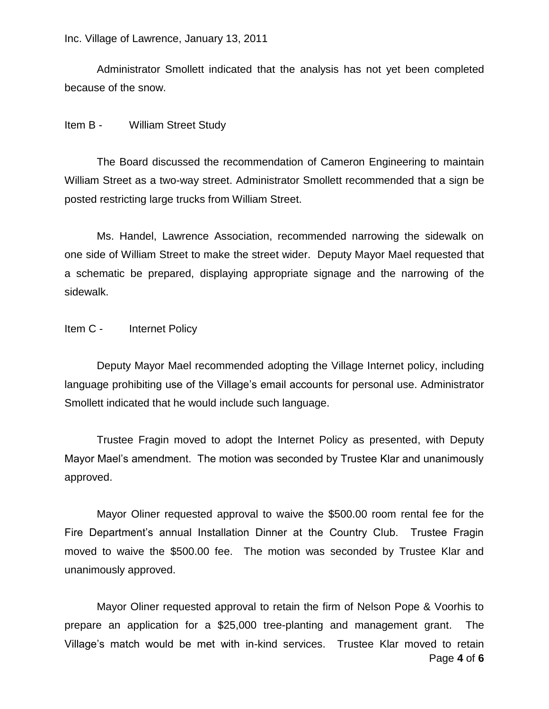Administrator Smollett indicated that the analysis has not yet been completed because of the snow.

Item B - William Street Study

The Board discussed the recommendation of Cameron Engineering to maintain William Street as a two-way street. Administrator Smollett recommended that a sign be posted restricting large trucks from William Street.

Ms. Handel, Lawrence Association, recommended narrowing the sidewalk on one side of William Street to make the street wider. Deputy Mayor Mael requested that a schematic be prepared, displaying appropriate signage and the narrowing of the sidewalk.

Item C - Internet Policy

Deputy Mayor Mael recommended adopting the Village Internet policy, including language prohibiting use of the Village's email accounts for personal use. Administrator Smollett indicated that he would include such language.

Trustee Fragin moved to adopt the Internet Policy as presented, with Deputy Mayor Mael's amendment. The motion was seconded by Trustee Klar and unanimously approved.

Mayor Oliner requested approval to waive the \$500.00 room rental fee for the Fire Department's annual Installation Dinner at the Country Club. Trustee Fragin moved to waive the \$500.00 fee. The motion was seconded by Trustee Klar and unanimously approved.

Page **4** of **6** Mayor Oliner requested approval to retain the firm of Nelson Pope & Voorhis to prepare an application for a \$25,000 tree-planting and management grant. The Village's match would be met with in-kind services. Trustee Klar moved to retain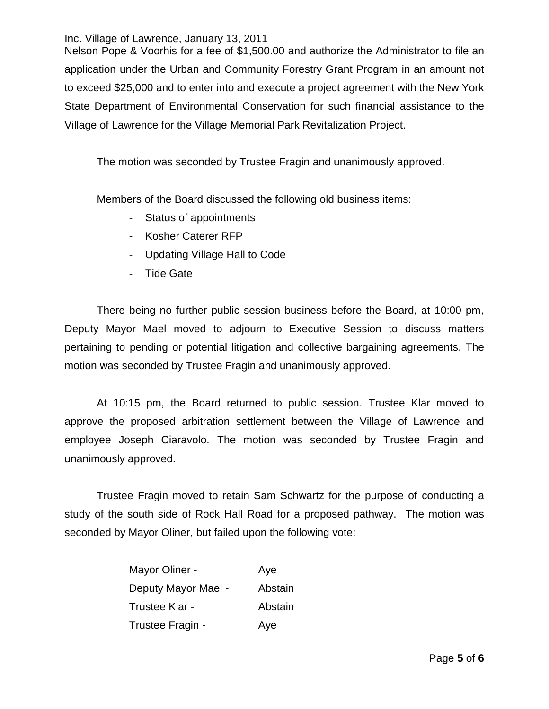Nelson Pope & Voorhis for a fee of \$1,500.00 and authorize the Administrator to file an application under the Urban and Community Forestry Grant Program in an amount not to exceed \$25,000 and to enter into and execute a project agreement with the New York State Department of Environmental Conservation for such financial assistance to the Village of Lawrence for the Village Memorial Park Revitalization Project.

The motion was seconded by Trustee Fragin and unanimously approved.

Members of the Board discussed the following old business items:

- Status of appointments
- Kosher Caterer RFP
- Updating Village Hall to Code
- Tide Gate

There being no further public session business before the Board, at 10:00 pm, Deputy Mayor Mael moved to adjourn to Executive Session to discuss matters pertaining to pending or potential litigation and collective bargaining agreements. The motion was seconded by Trustee Fragin and unanimously approved.

At 10:15 pm, the Board returned to public session. Trustee Klar moved to approve the proposed arbitration settlement between the Village of Lawrence and employee Joseph Ciaravolo. The motion was seconded by Trustee Fragin and unanimously approved.

Trustee Fragin moved to retain Sam Schwartz for the purpose of conducting a study of the south side of Rock Hall Road for a proposed pathway. The motion was seconded by Mayor Oliner, but failed upon the following vote:

| Mayor Oliner -      | Aye     |
|---------------------|---------|
| Deputy Mayor Mael - | Abstain |
| Trustee Klar -      | Abstain |
| Trustee Fragin -    | Aye     |